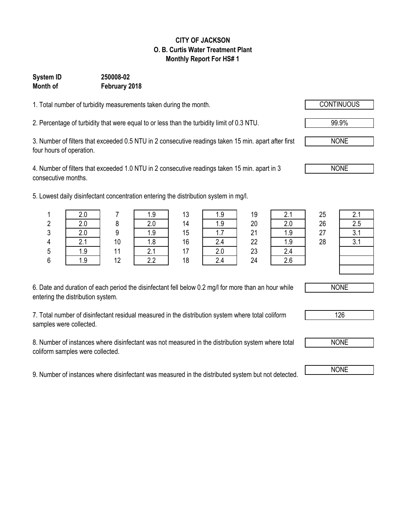#### **CITY OF JACKSON O. B. Curtis Water Treatment Plant Monthly Report For HS# 1**

### **System ID 250008-02 Month of February 2018**

1. Total number of turbidity measurements taken during the month.

2. Percentage of turbidity that were equal to or less than the turbidity limit of 0.3 NTU.

3. Number of filters that exceeded 0.5 NTU in 2 consecutive readings taken 15 min. apart after first four hours of operation.

4. Number of filters that exceeded 1.0 NTU in 2 consecutive readings taken 15 min. apart in 3 consecutive months.

5. Lowest daily disinfectant concentration entering the distribution system in mg/l.

|        |                | 1.9    | 12<br>ں ا | 1 Q<br>ں. ا | 19 | 2 <sub>1</sub> | 25 | 2.1 |
|--------|----------------|--------|-----------|-------------|----|----------------|----|-----|
|        |                | Z.V    | 14        | 1 Q<br>ن. ا | 20 | ን በ<br>Z.U     | 26 | 2.5 |
|        |                | 1.9    | 15        | -<br>1.1    | 21 | ن. ا           | 27 | 3.1 |
| $\sim$ | 10             | 1.8    | 16        | 2.4         | 22 | 1.9            | 28 | 3.1 |
| 1.9    | $\overline{4}$ |        | . –       | 2.0         | 23 | 2.4            |    |     |
| 1.9    | 12             | $\cap$ | 18        | 2.4         | 24 | 2.6            |    |     |

| 13 | 1.9 |
|----|-----|
| 14 | 1.9 |
| 15 | 1.7 |
| 16 | 2.4 |
| 17 | 2.0 |
| 18 | 2.4 |

| 2.1     |
|---------|
| 2.0     |
| 1.9     |
| .9<br>1 |
| 2.4     |
| 2.6     |



6. Date and duration of each period the disinfectant fell below 0.2 mg/l for more than an hour while entering the distribution system.

7. Total number of disinfectant residual measured in the distribution system where total coliform samples were collected.

8. Number of instances where disinfectant was not measured in the distribution system where total coliform samples were collected.

9. Number of instances where disinfectant was measured in the distributed system but not detected. NONE

NONE

NONE

126



99.9%

NONE

NONE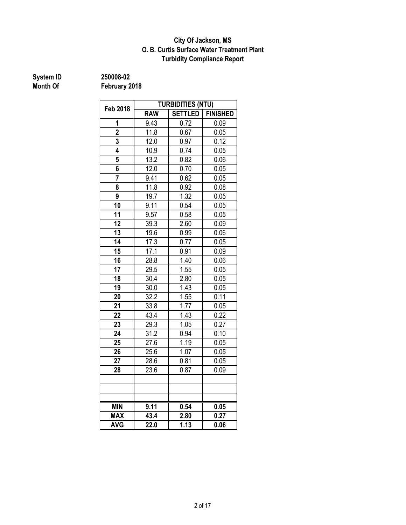### **O. B. Curtis Surface Water Treatment Plant City Of Jackson, MS Turbidity Compliance Report**

# **System ID** 250008-02<br> **Month Of** February 2

| <b>Feb 2018</b> | <b>TURBIDITIES (NTU)</b> |                |                 |  |  |
|-----------------|--------------------------|----------------|-----------------|--|--|
|                 | <b>RAW</b>               | <b>SETTLED</b> | <b>FINISHED</b> |  |  |
| 1               | 9.43                     | 0.72           | 0.09            |  |  |
| $\overline{2}$  | 11.8                     | 0.67           | 0.05            |  |  |
| 3               | 12.0                     | 0.97           | 0.12            |  |  |
| 4               | 10.9                     | 0.74           | 0.05            |  |  |
| 5               | 13.2                     | 0.82           | 0.06            |  |  |
| 6               | 12.0                     | 0.70           | 0.05            |  |  |
| $\overline{7}$  | 9.41                     | 0.62           | 0.05            |  |  |
| 8               | 11.8                     | 0.92           | 0.08            |  |  |
| 9               | 19.7                     | 1.32           | 0.05            |  |  |
| 10              | 9.11                     | 0.54           | 0.05            |  |  |
| 11              | 9.57                     | 0.58           | 0.05            |  |  |
| 12              | 39.3                     | 2.60           | 0.09            |  |  |
| 13              | 19.6                     | 0.99           | 0.06            |  |  |
| $\overline{14}$ | 17.3                     | 0.77           | 0.05            |  |  |
| 15              | 17.1                     | 0.91           | 0.09            |  |  |
| 16              | 28.8                     | 1.40           | 0.06            |  |  |
| 17              | 29.5                     | 1.55           | 0.05            |  |  |
| 18              | 30.4                     | 2.80           | 0.05            |  |  |
| $\overline{19}$ | 30.0                     | 1.43           | 0.05            |  |  |
| 20              | 32.2                     | 1.55           | 0.11            |  |  |
| 21              | 33.8                     | 1.77           | 0.05            |  |  |
| 22              | 43.4                     | 1.43           | 0.22            |  |  |
| 23              | 29.3                     | 1.05           | 0.27            |  |  |
| 24              | 31.2                     | 0.94           | 0.10            |  |  |
| 25              | 27.6                     | 1.19           | 0.05            |  |  |
| 26              | 25.6                     | 1.07           | 0.05            |  |  |
| 27              | 28.6                     | 0.81           | 0.05            |  |  |
| 28              | 23.6                     | 0.87           | 0.09            |  |  |
|                 |                          |                |                 |  |  |
|                 |                          |                |                 |  |  |
|                 |                          |                |                 |  |  |
| <b>MIN</b>      | 9.11                     | 0.54           | 0.05            |  |  |
| <b>MAX</b>      | 43.4                     | 2.80           | 0.27            |  |  |
| <b>AVG</b>      | 22.0                     | 1.13           | 0.06            |  |  |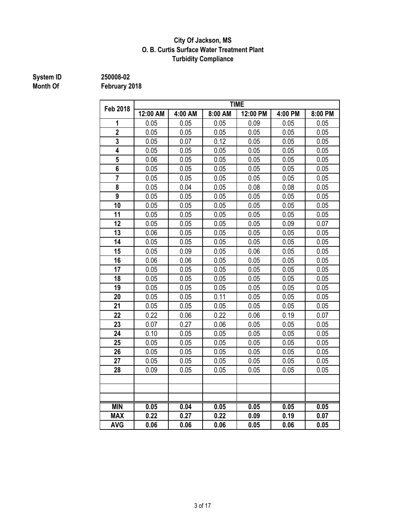### **City Of Jackson, MS O. B. Curtis Surface Water Treatment Plant Turbidity Compliance**

# **System ID** 250008-02<br> **Month Of** February 2

| <b>Feb 2018</b> | <b>TIME</b> |         |         |          |         |         |  |
|-----------------|-------------|---------|---------|----------|---------|---------|--|
|                 | 12:00 AM    | 4:00 AM | 8:00 AM | 12:00 PM | 4:00 PM | 8:00 PM |  |
| 1               | 0.05        | 0.05    | 0.05    | 0.09     | 0.05    | 0.05    |  |
| $\overline{2}$  | 0.05        | 0.05    | 0.05    | 0.05     | 0.05    | 0.05    |  |
| 3               | 0.05        | 0.07    | 0.12    | 0.05     | 0.05    | 0.05    |  |
| 4               | 0.05        | 0.05    | 0.05    | 0.05     | 0.05    | 0.05    |  |
| 5               | 0.06        | 0.05    | 0.05    | 0.05     | 0.05    | 0.05    |  |
| 6               | 0.05        | 0.05    | 0.05    | 0.05     | 0.05    | 0.05    |  |
| $\overline{7}$  | 0.05        | 0.05    | 0.05    | 0.05     | 0.05    | 0.05    |  |
| 8               | 0.05        | 0.04    | 0.05    | 0.08     | 0.08    | 0.05    |  |
| 9               | 0.05        | 0.05    | 0.05    | 0.05     | 0.05    | 0.05    |  |
| 10              | 0.05        | 0.05    | 0.05    | 0.05     | 0.05    | 0.05    |  |
| 11              | 0.05        | 0.05    | 0.05    | 0.05     | 0.05    | 0.05    |  |
| 12              | 0.05        | 0.05    | 0.05    | 0.05     | 0.09    | 0.07    |  |
| 13              | 0.06        | 0.05    | 0.05    | 0.05     | 0.05    | 0.05    |  |
| 14              | 0.05        | 0.05    | 0.05    | 0.05     | 0.05    | 0.05    |  |
| 15              | 0.05        | 0.09    | 0.05    | 0.06     | 0.05    | 0.05    |  |
| 16              | 0.06        | 0.06    | 0.05    | 0.05     | 0.05    | 0.05    |  |
| 17              | 0.05        | 0.05    | 0.05    | 0.05     | 0.05    | 0.05    |  |
| 18              | 0.05        | 0.05    | 0.05    | 0.05     | 0.05    | 0.05    |  |
| 19              | 0.05        | 0.05    | 0.05    | 0.05     | 0.05    | 0.05    |  |
| 20              | 0.05        | 0.05    | 0.11    | 0.05     | 0.05    | 0.05    |  |
| 21              | 0.05        | 0.05    | 0.05    | 0.05     | 0.05    | 0.05    |  |
| 22              | 0.22        | 0.06    | 0.22    | 0.06     | 0.19    | 0.07    |  |
| 23              | 0.07        | 0.27    | 0.06    | 0.05     | 0.05    | 0.05    |  |
| 24              | 0.10        | 0.05    | 0.05    | 0.05     | 0.05    | 0.05    |  |
| 25              | 0.05        | 0.05    | 0.05    | 0.05     | 0.05    | 0.05    |  |
| 26              | 0.05        | 0.05    | 0.05    | 0.05     | 0.05    | 0.05    |  |
| 27              | 0.05        | 0.05    | 0.05    | 0.05     | 0.05    | 0.05    |  |
| 28              | 0.09        | 0.05    | 0.05    | 0.05     | 0.05    | 0.05    |  |
|                 |             |         |         |          |         |         |  |
|                 |             |         |         |          |         |         |  |
|                 |             |         |         |          |         |         |  |
| <b>MIN</b>      | 0.05        | 0.04    | 0.05    | 0.05     | 0.05    | 0.05    |  |
| <b>MAX</b>      | 0.22        | 0.27    | 0.22    | 0.09     | 0.19    | 0.07    |  |
| <b>AVG</b>      | 0.06        | 0.06    | 0.06    | 0.05     | 0.06    | 0.05    |  |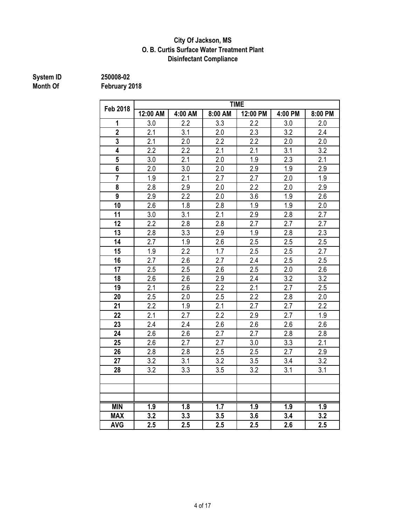#### **Disinfectant Compliance City Of Jackson, MS O. B. Curtis Surface Water Treatment Plant**

# **System ID** 250008-02<br> **Month Of** February 2

|                  | <b>TIME</b>      |         |                  |                  |                  |                  |  |  |
|------------------|------------------|---------|------------------|------------------|------------------|------------------|--|--|
| <b>Feb 2018</b>  | 12:00 AM         | 4:00 AM | 8:00 AM          | 12:00 PM         | 4:00 PM          | 8:00 PM          |  |  |
| 1                | 3.0              | 2.2     | 3.3              | 2.2              | 3.0              | 2.0              |  |  |
| $\overline{2}$   | 2.1              | 3.1     | 2.0              | 2.3              | 3.2              | 2.4              |  |  |
| 3                | 2.1              | 2.0     | 2.2              | 2.2              | 2.0              | 2.0              |  |  |
| 4                | 2.2              | 2.2     | 2.1              | 2.1              | 3.1              | 3.2              |  |  |
| 5                | 3.0              | 2.1     | 2.0              | 1.9              | 2.3              | 2.1              |  |  |
| 6                | 2.0              | 3.0     | 2.0              | 2.9              | 1.9              | 2.9              |  |  |
| $\overline{7}$   | 1.9              | 2.1     | 2.7              | 2.7              | 2.0              | 1.9              |  |  |
| 8                | 2.8              | 2.9     | 2.0              | $2.\overline{2}$ | 2.0              | 2.9              |  |  |
| $\boldsymbol{9}$ | 2.9              | 2.2     | 2.0              | 3.6              | 1.9              | 2.6              |  |  |
| 10               | 2.6              | 1.8     | 2.8              | 1.9              | 1.9              | 2.0              |  |  |
| 11               | 3.0              | 3.1     | 2.1              | 2.9              | 2.8              | 2.7              |  |  |
| 12               | 2.2              | 2.8     | 2.8              | 2.7              | 2.7              | 2.7              |  |  |
| 13               | 2.8              | 3.3     | 2.9              | 1.9              | 2.8              | 2.3              |  |  |
| 14               | 2.7              | 1.9     | 2.6              | 2.5              | 2.5              | 2.5              |  |  |
| 15               | 1.9              | 2.2     | 1.7              | 2.5              | 2.5              | 2.7              |  |  |
| 16               | 2.7              | 2.6     | 2.7              | 2.4              | 2.5              | 2.5              |  |  |
| 17               | 2.5              | 2.5     | 2.6              | 2.5              | 2.0              | 2.6              |  |  |
| 18               | 2.6              | 2.6     | 2.9              | 2.4              | 3.2              | 3.2              |  |  |
| 19               | 2.1              | 2.6     | $\overline{2.2}$ | $\overline{2.1}$ | $\overline{2.7}$ | 2.5              |  |  |
| 20               | 2.5              | 2.0     | 2.5              | 2.2              | 2.8              | 2.0              |  |  |
| 21               | 2.2              | 1.9     | 2.1              | 2.7              | 2.7              | 2.2              |  |  |
| 22               | 2.1              | 2.7     | 2.2              | 2.9              | 2.7              | 1.9              |  |  |
| 23               | 2.4              | 2.4     | $2.\overline{6}$ | 2.6              | 2.6              | 2.6              |  |  |
| 24               | 2.6              | 2.6     | 2.7              | 2.7              | 2.8              | 2.8              |  |  |
| 25               | 2.6              | 2.7     | 2.7              | 3.0              | 3.3              | 2.1              |  |  |
| 26               | 2.8              | 2.8     | 2.5              | 2.5              | 2.7              | 2.9              |  |  |
| 27               | 3.2              | 3.1     | 3.2              | 3.5              | 3.4              | 3.2              |  |  |
| 28               | 3.2              | 3.3     | 3.5              | 3.2              | 3.1              | 3.1              |  |  |
|                  |                  |         |                  |                  |                  |                  |  |  |
|                  |                  |         |                  |                  |                  |                  |  |  |
|                  |                  |         |                  |                  |                  |                  |  |  |
| <b>MIN</b>       | $\overline{1.9}$ | 1.8     | 1.7              | $\overline{1.9}$ | 1.9              | $\overline{1.9}$ |  |  |
| <b>MAX</b>       | 3.2              | 3.3     | 3.5              | 3.6              | 3.4              | 3.2              |  |  |
| <b>AVG</b>       | 2.5              | 2.5     | 2.5              | 2.5              | 2.6              | 2.5              |  |  |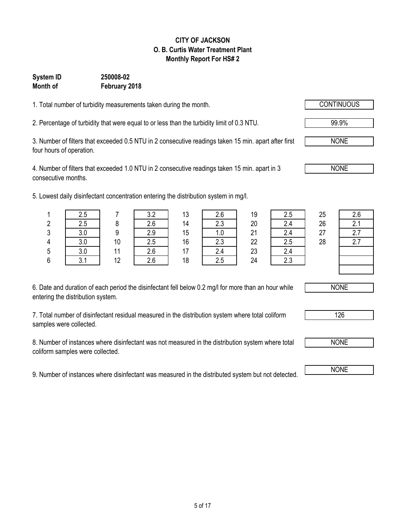### 5 of 17

#### **CITY OF JACKSON O. B. Curtis Water Treatment Plant Monthly Report For HS# 2**

### **Month of February 2018 System ID 250008-02**

1. Total number of turbidity measurements taken during the month.

2. Percentage of turbidity that were equal to or less than the turbidity limit of 0.3 NTU. 99.9%

3. Number of filters that exceeded 0.5 NTU in 2 consecutive readings taken 15 min. apart after first four hours of operation.

4. Number of filters that exceeded 1.0 NTU in 2 consecutive readings taken 15 min. apart in 3 consecutive months.

5. Lowest daily disinfectant concentration entering the distribution system in mg/l.

| 6. Date and duration of each period the disinfectant fell below 0.2 mg/l for more than an hour while |  |
|------------------------------------------------------------------------------------------------------|--|
| entering the distribution system.                                                                    |  |

7. Total number of disinfectant residual measured in the distribution system where total coliform samples were collected.

8. Number of instances where disinfectant was not measured in the distribution system where total coliform samples were collected.

9. Number of instances where disinfectant was measured in the distributed system but not detected.

|        | 2.5        |    | ר כ<br>J.L | 13 | 2.b  | 19 | 2.5    | 25 | 2.6 |
|--------|------------|----|------------|----|------|----|--------|----|-----|
| n      | 2.5        |    | 2.6        | 14 | 2.3  | 20 | 2.4    | 26 | 2.1 |
| 3      | っぃ         | ი  | 2.9        | 15 | 0. ا | 21 | 2.4    | 27 | 2.7 |
| Λ      | っぃ<br>v.v  | 10 | 2.5        | 16 | 2.3  | 22 | 2.5    | 28 | 2.7 |
| 5      |            | 11 | 2.6        | 47 | 2.4  | 23 |        |    |     |
| c<br>υ | 21<br>ບ. ເ | 12 | 2.6        | 18 | 2.5  | 24 | $\cap$ |    |     |





NONE



NONE

NONE

NONE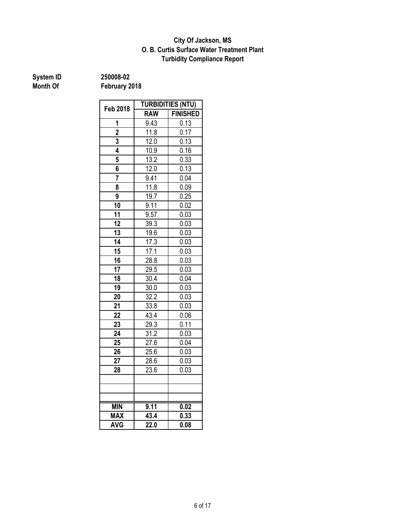### **Turbidity Compliance Report O. B. Curtis Surface Water Treatment Plant City Of Jackson, MS**

**System ID** 250008-02<br> **Month Of** February 2

|                         |                   | <b>TURBIDITIES (NTU)</b> |  |
|-------------------------|-------------------|--------------------------|--|
| Feb 2018                | <b>RAW</b>        | <b>FINISHED</b>          |  |
| 1                       | 9.43              | 0.13                     |  |
| $\overline{\mathbf{2}}$ | 11.8              | 0.17                     |  |
| 3                       | $12.\overline{0}$ | 0.13                     |  |
| 4                       | 10.9              | 0.16                     |  |
| 5                       | 13.2              | 0.33                     |  |
| 6                       | 12.0              | 0.13                     |  |
| 7                       | 9.41              | 0.04                     |  |
| 8                       | 11.8              | 0.09                     |  |
| 9                       | 19.7              | 0.25                     |  |
| 10                      | 9.11              | 0.02                     |  |
| 11                      | 9.57              | 0.03                     |  |
| 12                      | 39.3              | 0.03                     |  |
| 13                      | 19.6              | 0.03                     |  |
| 14                      | 17.3              | 0.03                     |  |
| 15                      | 17.1              | 0.03                     |  |
| 16                      | 28.8              | 0.03                     |  |
| 17                      | 29.5              | 0.03                     |  |
| 18                      | 30.4              | 0.04                     |  |
| 19                      | 30.0              | 0.03                     |  |
| 20                      | 32.2              | 0.03                     |  |
| $2\overline{1}$         | 33.8              | 0.03                     |  |
| 22                      | 43.4              | 0.06                     |  |
| 23                      | 29.3              | 0.11                     |  |
| 24                      | 31.2              | 0.03                     |  |
| 25                      | 27.6              | 0.04                     |  |
| 26                      | 25.6              | 0.03                     |  |
| 27                      | 28.6              | 0.03                     |  |
| 28                      | 23.6              | 0.03                     |  |
|                         |                   |                          |  |
|                         |                   |                          |  |
|                         |                   |                          |  |
| <b>MIN</b>              | 9.11              | 0.02                     |  |
| <b>MAX</b>              | 43.4              | 0.33                     |  |
| <b>AVG</b>              | 22.0              | 0.08                     |  |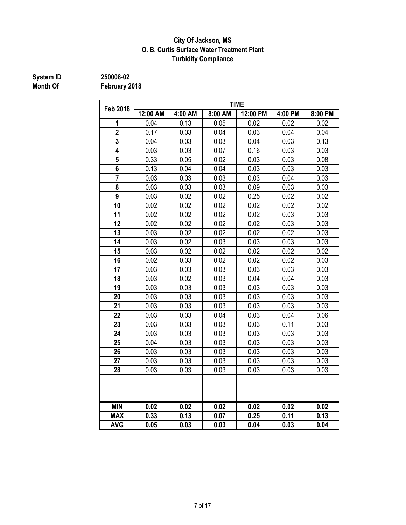### **City Of Jackson, MS O. B. Curtis Surface Water Treatment Plant Turbidity Compliance**

# **System ID** 250008-02<br> **Month Of** February 2

|                         | <b>TIME</b> |         |         |          |         |         |  |  |
|-------------------------|-------------|---------|---------|----------|---------|---------|--|--|
| <b>Feb 2018</b>         | 12:00 AM    | 4:00 AM | 8:00 AM | 12:00 PM | 4:00 PM | 8:00 PM |  |  |
| 1                       | 0.04        | 0.13    | 0.05    | 0.02     | 0.02    | 0.02    |  |  |
| $\overline{2}$          | 0.17        | 0.03    | 0.04    | 0.03     | 0.04    | 0.04    |  |  |
| 3                       | 0.04        | 0.03    | 0.03    | 0.04     | 0.03    | 0.13    |  |  |
| 4                       | 0.03        | 0.03    | 0.07    | 0.16     | 0.03    | 0.03    |  |  |
| 5                       | 0.33        | 0.05    | 0.02    | 0.03     | 0.03    | 0.08    |  |  |
| $\overline{\mathbf{6}}$ | 0.13        | 0.04    | 0.04    | 0.03     | 0.03    | 0.03    |  |  |
| $\overline{7}$          | 0.03        | 0.03    | 0.03    | 0.03     | 0.04    | 0.03    |  |  |
| 8                       | 0.03        | 0.03    | 0.03    | 0.09     | 0.03    | 0.03    |  |  |
| $\overline{9}$          | 0.03        | 0.02    | 0.02    | 0.25     | 0.02    | 0.02    |  |  |
| 10                      | 0.02        | 0.02    | 0.02    | 0.02     | 0.02    | 0.02    |  |  |
| 11                      | 0.02        | 0.02    | 0.02    | 0.02     | 0.03    | 0.03    |  |  |
| 12                      | 0.02        | 0.02    | 0.02    | 0.02     | 0.03    | 0.03    |  |  |
| 13                      | 0.03        | 0.02    | 0.02    | 0.02     | 0.02    | 0.03    |  |  |
| 14                      | 0.03        | 0.02    | 0.03    | 0.03     | 0.03    | 0.03    |  |  |
| 15                      | 0.03        | 0.02    | 0.02    | 0.02     | 0.02    | 0.02    |  |  |
| 16                      | 0.02        | 0.03    | 0.02    | 0.02     | 0.02    | 0.03    |  |  |
| 17                      | 0.03        | 0.03    | 0.03    | 0.03     | 0.03    | 0.03    |  |  |
| 18                      | 0.03        | 0.02    | 0.03    | 0.04     | 0.04    | 0.03    |  |  |
| 19                      | 0.03        | 0.03    | 0.03    | 0.03     | 0.03    | 0.03    |  |  |
| 20                      | 0.03        | 0.03    | 0.03    | 0.03     | 0.03    | 0.03    |  |  |
| 21                      | 0.03        | 0.03    | 0.03    | 0.03     | 0.03    | 0.03    |  |  |
| 22                      | 0.03        | 0.03    | 0.04    | 0.03     | 0.04    | 0.06    |  |  |
| 23                      | 0.03        | 0.03    | 0.03    | 0.03     | 0.11    | 0.03    |  |  |
| 24                      | 0.03        | 0.03    | 0.03    | 0.03     | 0.03    | 0.03    |  |  |
| 25                      | 0.04        | 0.03    | 0.03    | 0.03     | 0.03    | 0.03    |  |  |
| 26                      | 0.03        | 0.03    | 0.03    | 0.03     | 0.03    | 0.03    |  |  |
| 27                      | 0.03        | 0.03    | 0.03    | 0.03     | 0.03    | 0.03    |  |  |
| 28                      | 0.03        | 0.03    | 0.03    | 0.03     | 0.03    | 0.03    |  |  |
|                         |             |         |         |          |         |         |  |  |
|                         |             |         |         |          |         |         |  |  |
|                         |             |         |         |          |         |         |  |  |
| <b>MIN</b>              | 0.02        | 0.02    | 0.02    | 0.02     | 0.02    | 0.02    |  |  |
| <b>MAX</b>              | 0.33        | 0.13    | 0.07    | 0.25     | 0.11    | 0.13    |  |  |
| <b>AVG</b>              | 0.05        | 0.03    | 0.03    | 0.04     | 0.03    | 0.04    |  |  |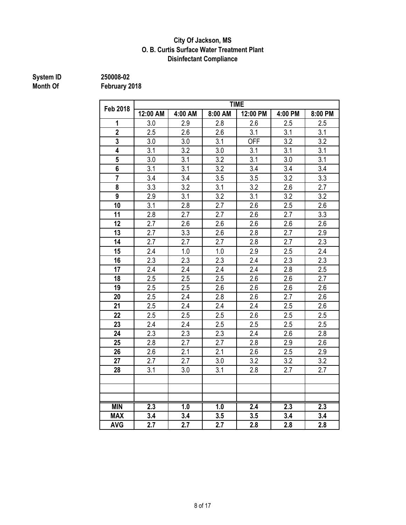#### **City Of Jackson, MS O. B. Curtis Surface Water Treatment Plant Disinfectant Compliance**

# **System ID** 250008-02<br> **Month Of** February 2

|                 | <b>TIME</b>      |         |                  |                  |         |                  |  |  |
|-----------------|------------------|---------|------------------|------------------|---------|------------------|--|--|
| <b>Feb 2018</b> | 12:00 AM         | 4:00 AM | 8:00 AM          | 12:00 PM         | 4:00 PM | 8:00 PM          |  |  |
| 1               | 3.0              | 2.9     | 2.8              | 2.6              | 2.5     | 2.5              |  |  |
| $\overline{2}$  | 2.5              | 2.6     | 2.6              | 3.1              | 3.1     | 3.1              |  |  |
| 3               | 3.0              | 3.0     | 3.1              | <b>OFF</b>       | 3.2     | 3.2              |  |  |
| 4               | 3.1              | 3.2     | 3.0              | 3.1              | 3.1     | 3.1              |  |  |
| 5               | 3.0              | 3.1     | 3.2              | 3.1              | 3.0     | 3.1              |  |  |
| 6               | 3.1              | 3.1     | 3.2              | 3.4              | 3.4     | 3.4              |  |  |
| $\overline{7}$  | 3.4              | 3.4     | 3.5              | 3.5              | 3.2     | 3.3              |  |  |
| 8               | 3.3              | 3.2     | 3.1              | 3.2              | 2.6     | 2.7              |  |  |
| 9               | 2.9              | 3.1     | 3.2              | 3.1              | 3.2     | 3.2              |  |  |
| 10              | 3.1              | 2.8     | 2.7              | 2.6              | 2.5     | 2.6              |  |  |
| 11              | 2.8              | 2.7     | 2.7              | 2.6              | 2.7     | 3.3              |  |  |
| 12              | 2.7              | 2.6     | 2.6              | 2.6              | 2.6     | 2.6              |  |  |
| 13              | 2.7              | 3.3     | 2.6              | 2.8              | 2.7     | 2.9              |  |  |
| 14              | 2.7              | 2.7     | 2.7              | 2.8              | 2.7     | 2.3              |  |  |
| 15              | 2.4              | 1.0     | 1.0              | $2.9\,$          | 2.5     | 2.4              |  |  |
| 16              | 2.3              | 2.3     | 2.3              | 2.4              | 2.3     | 2.3              |  |  |
| 17              | 2.4              | 2.4     | 2.4              | 2.4              | 2.8     | 2.5              |  |  |
| 18              | 2.5              | 2.5     | 2.5              | 2.6              | 2.6     | 2.7              |  |  |
| 19              | $\overline{2.5}$ | 2.5     | $2.\overline{6}$ | 2.6              | 2.6     | 2.6              |  |  |
| 20              | 2.5              | 2.4     | 2.8              | 2.6              | 2.7     | 2.6              |  |  |
| 21              | 2.5              | 2.4     | 2.4              | 2.4              | 2.5     | 2.6              |  |  |
| 22              | 2.5              | 2.5     | 2.5              | 2.6              | 2.5     | 2.5              |  |  |
| 23              | 2.4              | 2.4     | 2.5              | 2.5              | 2.5     | 2.5              |  |  |
| 24              | 2.3              | 2.3     | 2.3              | 2.4              | 2.6     | 2.8              |  |  |
| 25              | 2.8              | 2.7     | 2.7              | 2.8              | 2.9     | 2.6              |  |  |
| 26              | 2.6              | 2.1     | 2.1              | 2.6              | 2.5     | 2.9              |  |  |
| 27              | 2.7              | 2.7     | 3.0              | 3.2              | 3.2     | 3.2              |  |  |
| 28              | 3.1              | 3.0     | 3.1              | 2.8              | 2.7     | 2.7              |  |  |
|                 |                  |         |                  |                  |         |                  |  |  |
|                 |                  |         |                  |                  |         |                  |  |  |
|                 |                  |         |                  |                  |         |                  |  |  |
| <b>MIN</b>      | 2.3              | 1.0     | 1.0              | $\overline{2.4}$ | 2.3     | $\overline{2.3}$ |  |  |
| <b>MAX</b>      | 3.4              | 3.4     | 3.5              | 3.5              | 3.4     | 3.4              |  |  |
| <b>AVG</b>      | 2.7              | 2.7     | 2.7              | 2.8              | 2.8     | 2.8              |  |  |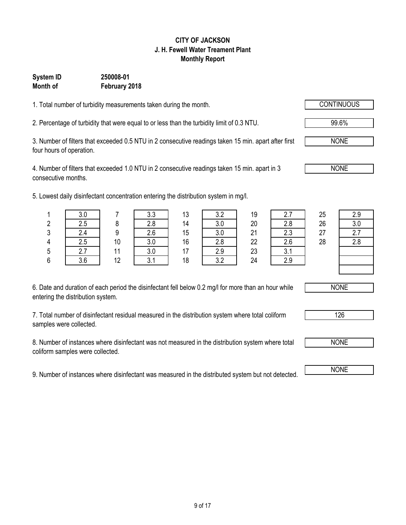# 9 of 17

#### **CITY OF JACKSON J. H. Fewell Water Treament Plant Monthly Report**

### **System ID 250008-01 Month of February 2018**

1. Total number of turbidity measurements taken during the month.

2. Percentage of turbidity that were equal to or less than the turbidity limit of 0.3 NTU. 99.6%

3. Number of filters that exceeded 0.5 NTU in 2 consecutive readings taken 15 min. apart after first four hours of operation.

4. Number of filters that exceeded 1.0 NTU in 2 consecutive readings taken 15 min. apart in 3 consecutive months.

5. Lowest daily disinfectant concentration entering the distribution

| 6. Date and duration of each period the disinfectant fell below 0.2 mg/l for more than an hour while |  |
|------------------------------------------------------------------------------------------------------|--|
| entering the distribution system.                                                                    |  |

7. Total number of disinfectant residual measured in the distribution system where total coliform samples were collected.

8. Number of instances where disinfectant was not measured in the distribution system where total coliform samples were collected.

9. Number of instances where disinfectant was measured in the distributed system but not detected. NONE

|   | west daily disinfectant concentration entering the distribution system in mg/l. |    |     |    |     |    |     |    |     |  |  |  |
|---|---------------------------------------------------------------------------------|----|-----|----|-----|----|-----|----|-----|--|--|--|
|   | 3.0                                                                             |    | 3.3 | 13 | 3.2 | 19 | 2.7 | 25 | 2.9 |  |  |  |
| 2 | 2.5                                                                             |    | 2.8 | 14 | 3.0 | 20 | 2.8 | 26 | 3.0 |  |  |  |
| 3 | 2.4                                                                             | 9  | 2.6 | 15 | 3.0 | 21 | 2.3 | 27 |     |  |  |  |
| 4 | 2.5                                                                             | 10 | 3.0 | 16 | 2.8 | 22 | 2.6 | 28 | 2.8 |  |  |  |
| 5 | 2.7                                                                             | 11 | 3.0 |    | 2.9 | 23 |     |    |     |  |  |  |
|   |                                                                                 |    |     |    |     |    |     |    |     |  |  |  |





126

NONE



NONE

NONE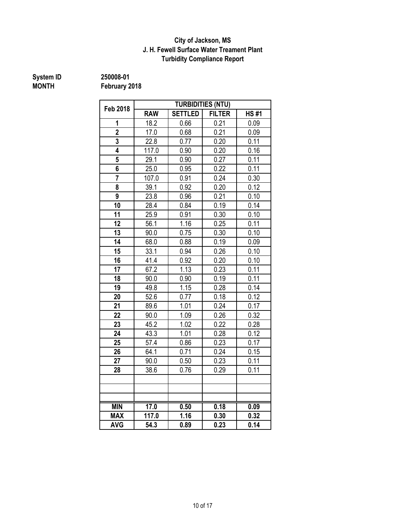### **J. H. Fewell Surface Water Treament Plant Turbidity Compliance Report City of Jackson, MS**

# **System ID** 250008-01<br> **MONTH** February 2

| <b>Feb 2018</b> |            |                | <b>TURBIDITIES (NTU)</b> |             |  |
|-----------------|------------|----------------|--------------------------|-------------|--|
|                 | <b>RAW</b> | <b>SETTLED</b> | <b>FILTER</b>            | <b>HS#1</b> |  |
| 1               | 18.2       | 0.66           | 0.21                     | 0.09        |  |
| $\overline{2}$  | 17.0       | 0.68           | 0.21                     | 0.09        |  |
| 3               | 22.8       | 0.77           | 0.20                     | 0.11        |  |
| 4               | 117.0      | 0.90           | 0.20                     | 0.16        |  |
| 5               | 29.1       | 0.90           | 0.27                     | 0.11        |  |
| 6               | 25.0       | 0.95           | 0.22                     | 0.11        |  |
| $\overline{7}$  | 107.0      | 0.91           | 0.24                     | 0.30        |  |
| 8               | 39.1       | 0.92           | 0.20                     | 0.12        |  |
| 9               | 23.8       | 0.96           | 0.21                     | 0.10        |  |
| 10              | 28.4       | 0.84           | 0.19                     | 0.14        |  |
| 11              | 25.9       | 0.91           | 0.30                     | 0.10        |  |
| 12              | 56.1       | 1.16           | 0.25                     | 0.11        |  |
| 13              | 90.0       | 0.75           | 0.30                     | 0.10        |  |
| 14              | 68.0       | 0.88           | 0.19                     | 0.09        |  |
| 15              | 33.1       | 0.94           | 0.26                     | 0.10        |  |
| 16              | 41.4       | 0.92           | 0.20                     | 0.10        |  |
| 17              | 67.2       | 1.13           | 0.23                     | 0.11        |  |
| 18              | 90.0       | 0.90           | 0.19                     | 0.11        |  |
| 19              | 49.8       | 1.15           | 0.28                     | 0.14        |  |
| 20              | 52.6       | 0.77           | 0.18                     | 0.12        |  |
| 21              | 89.6       | 1.01           | 0.24                     | 0.17        |  |
| 22              | 90.0       | 1.09           | 0.26                     | 0.32        |  |
| 23              | 45.2       | 1.02           | 0.22                     | 0.28        |  |
| 24              | 43.3       | 1.01           | 0.28                     | 0.12        |  |
| 25              | 57.4       | 0.86           | 0.23                     | 0.17        |  |
| 26              | 64.1       | 0.71           | 0.24                     | 0.15        |  |
| 27              | 90.0       | 0.50           | 0.23                     | 0.11        |  |
| 28              | 38.6       | 0.76           | 0.29                     | 0.11        |  |
|                 |            |                |                          |             |  |
|                 |            |                |                          |             |  |
|                 |            |                |                          |             |  |
| <b>MIN</b>      | 17.0       | 0.50           | 0.18                     | 0.09        |  |
| <b>MAX</b>      | 117.0      | 1.16           | 0.30                     | 0.32        |  |
| <b>AVG</b>      | 54.3       | 0.89           | 0.23                     | 0.14        |  |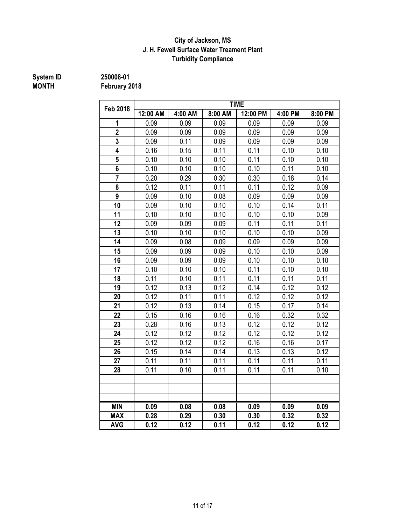### **J. H. Fewell Surface Water Treament Plant Turbidity Compliance City of Jackson, MS**

**System ID 250008-01**

**MONTH February 2018**

| <b>Feb 2018</b> |          |         |         | <b>TIME</b> |         |         |  |
|-----------------|----------|---------|---------|-------------|---------|---------|--|
|                 | 12:00 AM | 4:00 AM | 8:00 AM | 12:00 PM    | 4:00 PM | 8:00 PM |  |
| 1               | 0.09     | 0.09    | 0.09    | 0.09        | 0.09    | 0.09    |  |
| $\overline{2}$  | 0.09     | 0.09    | 0.09    | 0.09        | 0.09    | 0.09    |  |
| 3               | 0.09     | 0.11    | 0.09    | 0.09        | 0.09    | 0.09    |  |
| 4               | 0.16     | 0.15    | 0.11    | 0.11        | 0.10    | 0.10    |  |
| 5               | 0.10     | 0.10    | 0.10    | 0.11        | 0.10    | 0.10    |  |
| 6               | 0.10     | 0.10    | 0.10    | 0.10        | 0.11    | 0.10    |  |
| $\overline{7}$  | 0.20     | 0.29    | 0.30    | 0.30        | 0.18    | 0.14    |  |
| 8               | 0.12     | 0.11    | 0.11    | 0.11        | 0.12    | 0.09    |  |
| 9               | 0.09     | 0.10    | 0.08    | 0.09        | 0.09    | 0.09    |  |
| 10              | 0.09     | 0.10    | 0.10    | 0.10        | 0.14    | 0.11    |  |
| 11              | 0.10     | 0.10    | 0.10    | 0.10        | 0.10    | 0.09    |  |
| 12              | 0.09     | 0.09    | 0.09    | 0.11        | 0.11    | 0.11    |  |
| 13              | 0.10     | 0.10    | 0.10    | 0.10        | 0.10    | 0.09    |  |
| 14              | 0.09     | 0.08    | 0.09    | 0.09        | 0.09    | 0.09    |  |
| 15              | 0.09     | 0.09    | 0.09    | 0.10        | 0.10    | 0.09    |  |
| 16              | 0.09     | 0.09    | 0.09    | 0.10        | 0.10    | 0.10    |  |
| 17              | 0.10     | 0.10    | 0.10    | 0.11        | 0.10    | 0.10    |  |
| 18              | 0.11     | 0.10    | 0.11    | 0.11        | 0.11    | 0.11    |  |
| 19              | 0.12     | 0.13    | 0.12    | 0.14        | 0.12    | 0.12    |  |
| 20              | 0.12     | 0.11    | 0.11    | 0.12        | 0.12    | 0.12    |  |
| 21              | 0.12     | 0.13    | 0.14    | 0.15        | 0.17    | 0.14    |  |
| 22              | 0.15     | 0.16    | 0.16    | 0.16        | 0.32    | 0.32    |  |
| 23              | 0.28     | 0.16    | 0.13    | 0.12        | 0.12    | 0.12    |  |
| 24              | 0.12     | 0.12    | 0.12    | 0.12        | 0.12    | 0.12    |  |
| 25              | 0.12     | 0.12    | 0.12    | 0.16        | 0.16    | 0.17    |  |
| 26              | 0.15     | 0.14    | 0.14    | 0.13        | 0.13    | 0.12    |  |
| 27              | 0.11     | 0.11    | 0.11    | 0.11        | 0.11    | 0.11    |  |
| 28              | 0.11     | 0.10    | 0.11    | 0.11        | 0.11    | 0.10    |  |
|                 |          |         |         |             |         |         |  |
|                 |          |         |         |             |         |         |  |
|                 |          |         |         |             |         |         |  |
| <b>MIN</b>      | 0.09     | 0.08    | 0.08    | 0.09        | 0.09    | 0.09    |  |
| <b>MAX</b>      | 0.28     | 0.29    | 0.30    | 0.30        | 0.32    | 0.32    |  |
| <b>AVG</b>      | 0.12     | 0.12    | 0.11    | 0.12        | 0.12    | 0.12    |  |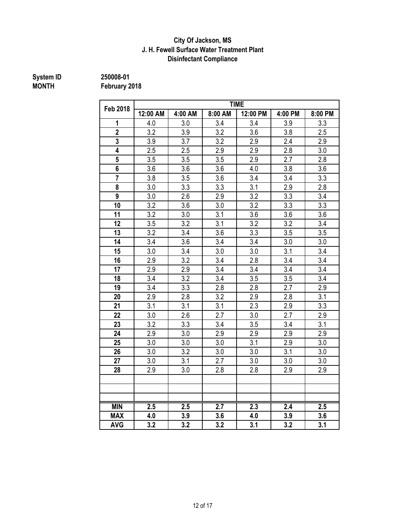#### **Disinfectant Compliance City Of Jackson, MS J. H. Fewell Surface Water Treatment Plant**

# **System ID** 250008-01<br> **MONTH** February 2

| <b>Feb 2018</b> |                  |         |         | <b>TIME</b> |         |         |
|-----------------|------------------|---------|---------|-------------|---------|---------|
|                 | 12:00 AM         | 4:00 AM | 8:00 AM | 12:00 PM    | 4:00 PM | 8:00 PM |
| 1               | 4.0              | 3.0     | 3.4     | 3.4         | 3.9     | 3.3     |
| $\overline{2}$  | 3.2              | 3.9     | 3.2     | 3.6         | 3.8     | 2.5     |
| 3               | 3.9              | 3.7     | 3.2     | 2.9         | 2.4     | 2.9     |
| 4               | 2.5              | 2.5     | 2.9     | 2.9         | 2.8     | 3.0     |
| 5               | 3.5              | 3.5     | 3.5     | 2.9         | 2.7     | 2.8     |
| 6               | 3.6              | 3.6     | 3.6     | 4.0         | 3.8     | 3.6     |
| $\overline{7}$  | 3.8              | 3.5     | 3.6     | 3.4         | 3.4     | 3.3     |
| 8               | 3.0              | 3.3     | 3.3     | 3.1         | 2.9     | 2.8     |
| 9               | 3.0              | 2.6     | 2.9     | 3.2         | 3.3     | 3.4     |
| 10              | 3.2              | 3.6     | 3.0     | 3.2         | 3.3     | 3.3     |
| 11              | 3.2              | 3.0     | 3.1     | 3.6         | 3.6     | 3.6     |
| 12              | 3.5              | 3.2     | 3.1     | 3.2         | 3.2     | 3.4     |
| 13              | 3.2              | 3.4     | 3.6     | 3.3         | 3.5     | 3.5     |
| 14              | 3.4              | 3.6     | 3.4     | 3.4         | 3.0     | 3.0     |
| 15              | 3.0              | 3.4     | 3.0     | 3.0         | 3.1     | 3.4     |
| 16              | 2.9              | 3.2     | 3.4     | 2.8         | 3.4     | 3.4     |
| 17              | 2.9              | 2.9     | 3.4     | 3.4         | 3.4     | 3.4     |
| 18              | 3.4              | 3.2     | 3.4     | 3.5         | 3.5     | 3.4     |
| 19              | 3.4              | 3.3     | 2.8     | 2.8         | 2.7     | 2.9     |
| 20              | 2.9              | 2.8     | 3.2     | 2.9         | 2.8     | 3.1     |
| 21              | 3.1              | 3.1     | 3.1     | 2.3         | 2.9     | 3.3     |
| 22              | 3.0              | 2.6     | 2.7     | 3.0         | 2.7     | 2.9     |
| 23              | 3.2              | 3.3     | 3.4     | 3.5         | 3.4     | 3.1     |
| 24              | 2.9              | 3.0     | 2.9     | 2.9         | 2.9     | 2.9     |
| 25              | 3.0              | 3.0     | 3.0     | 3.1         | 2.9     | 3.0     |
| 26              | 3.0              | 3.2     | 3.0     | 3.0         | 3.1     | 3.0     |
| 27              | 3.0              | 3.1     | 2.7     | 3.0         | 3.0     | 3.0     |
| 28              | 2.9              | 3.0     | 2.8     | 2.8         | 2.9     | 2.9     |
|                 |                  |         |         |             |         |         |
|                 |                  |         |         |             |         |         |
|                 |                  |         |         |             |         |         |
| <b>MIN</b>      | 2.5              | 2.5     | 2.7     | 2.3         | 2.4     | 2.5     |
| <b>MAX</b>      | 4.0              | 3.9     | 3.6     | 4.0         | 3.9     | 3.6     |
| <b>AVG</b>      | $\overline{3.2}$ | 3.2     | 3.2     | 3.1         | 3.2     | 3.1     |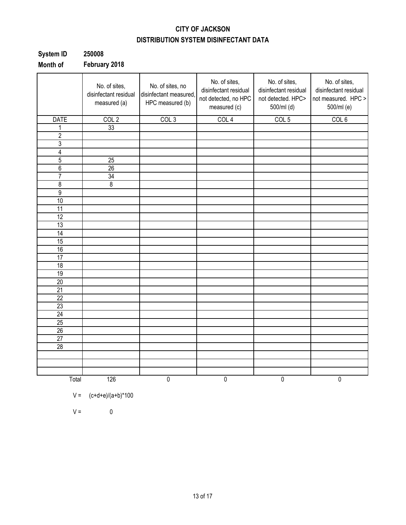### **CITY OF JACKSON DISTRIBUTION SYSTEM DISINFECTANT DATA**

| <b>System ID</b> | 250008        |
|------------------|---------------|
| Month of         | February 2018 |

|                 | No. of sites,<br>disinfectant residual<br>measured (a) | No. of sites, no<br>disinfectant measured,<br>HPC measured (b) | No. of sites,<br>disinfectant residual<br>not detected, no HPC<br>measured (c) | No. of sites,<br>disinfectant residual<br>not detected. HPC><br>500/ml (d) | No. of sites,<br>disinfectant residual<br>not measured. HPC ><br>500/ml (e) |
|-----------------|--------------------------------------------------------|----------------------------------------------------------------|--------------------------------------------------------------------------------|----------------------------------------------------------------------------|-----------------------------------------------------------------------------|
| <b>DATE</b>     | COL <sub>2</sub>                                       | COL <sub>3</sub>                                               | COL <sub>4</sub>                                                               | COL <sub>5</sub>                                                           | COL <sub>6</sub>                                                            |
| 1               | 33                                                     |                                                                |                                                                                |                                                                            |                                                                             |
| $\overline{c}$  |                                                        |                                                                |                                                                                |                                                                            |                                                                             |
| 3               |                                                        |                                                                |                                                                                |                                                                            |                                                                             |
| $\overline{4}$  |                                                        |                                                                |                                                                                |                                                                            |                                                                             |
| $\overline{5}$  | 25                                                     |                                                                |                                                                                |                                                                            |                                                                             |
| $\overline{6}$  | 26                                                     |                                                                |                                                                                |                                                                            |                                                                             |
| $\overline{7}$  | 34                                                     |                                                                |                                                                                |                                                                            |                                                                             |
| $\overline{8}$  | $\overline{\mathbf{8}}$                                |                                                                |                                                                                |                                                                            |                                                                             |
| $\overline{9}$  |                                                        |                                                                |                                                                                |                                                                            |                                                                             |
| 10              |                                                        |                                                                |                                                                                |                                                                            |                                                                             |
| $\overline{11}$ |                                                        |                                                                |                                                                                |                                                                            |                                                                             |
| 12              |                                                        |                                                                |                                                                                |                                                                            |                                                                             |
| 13              |                                                        |                                                                |                                                                                |                                                                            |                                                                             |
| $\overline{14}$ |                                                        |                                                                |                                                                                |                                                                            |                                                                             |
| 15              |                                                        |                                                                |                                                                                |                                                                            |                                                                             |
| 16              |                                                        |                                                                |                                                                                |                                                                            |                                                                             |
| 17              |                                                        |                                                                |                                                                                |                                                                            |                                                                             |
| $\overline{18}$ |                                                        |                                                                |                                                                                |                                                                            |                                                                             |
| 19              |                                                        |                                                                |                                                                                |                                                                            |                                                                             |
| $\overline{20}$ |                                                        |                                                                |                                                                                |                                                                            |                                                                             |
| 21              |                                                        |                                                                |                                                                                |                                                                            |                                                                             |
| 22              |                                                        |                                                                |                                                                                |                                                                            |                                                                             |
| 23              |                                                        |                                                                |                                                                                |                                                                            |                                                                             |
| 24              |                                                        |                                                                |                                                                                |                                                                            |                                                                             |
| $\overline{25}$ |                                                        |                                                                |                                                                                |                                                                            |                                                                             |
| 26              |                                                        |                                                                |                                                                                |                                                                            |                                                                             |
| $\overline{27}$ |                                                        |                                                                |                                                                                |                                                                            |                                                                             |
| $\overline{28}$ |                                                        |                                                                |                                                                                |                                                                            |                                                                             |
|                 |                                                        |                                                                |                                                                                |                                                                            |                                                                             |
|                 |                                                        |                                                                |                                                                                |                                                                            |                                                                             |
|                 |                                                        |                                                                |                                                                                |                                                                            |                                                                             |
| Total           | 126                                                    | $\overline{0}$                                                 | $\overline{0}$                                                                 | $\pmb{0}$                                                                  | $\overline{0}$                                                              |

$$
V =
$$
  $(c+d+e)/(a+b)*100$ 

 $V = 0$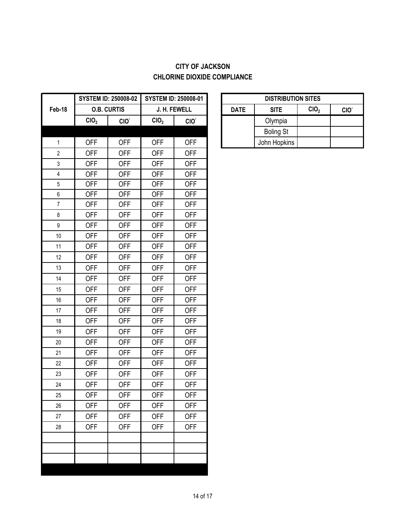### **CITY OF JACKSON CHLORINE DIOXIDE COMPLIANCE**

|                         |                  | <b>SYSTEM ID: 250008-02</b> |                  | <b>SYSTEM ID: 250008-01</b> |             | <b>DISTRIBUT</b> |
|-------------------------|------------------|-----------------------------|------------------|-----------------------------|-------------|------------------|
| Feb-18                  |                  | <b>O.B. CURTIS</b>          |                  | J. H. FEWELL                | <b>DATE</b> | <b>SITE</b>      |
|                         | CIO <sub>2</sub> | CIO.                        | CIO <sub>2</sub> | CIO.                        |             | Olympia          |
|                         |                  |                             |                  |                             |             | <b>Boling St</b> |
| $\mathbf{1}$            | <b>OFF</b>       | <b>OFF</b>                  | <b>OFF</b>       | <b>OFF</b>                  |             | John Hopkins     |
| $\overline{2}$          | <b>OFF</b>       | <b>OFF</b>                  | <b>OFF</b>       | <b>OFF</b>                  |             |                  |
| 3                       | <b>OFF</b>       | <b>OFF</b>                  | <b>OFF</b>       | <b>OFF</b>                  |             |                  |
| $\overline{\mathbf{4}}$ | <b>OFF</b>       | <b>OFF</b>                  | <b>OFF</b>       | <b>OFF</b>                  |             |                  |
| 5                       | <b>OFF</b>       | <b>OFF</b>                  | <b>OFF</b>       | <b>OFF</b>                  |             |                  |
| $\,6\,$                 | <b>OFF</b>       | <b>OFF</b>                  | <b>OFF</b>       | <b>OFF</b>                  |             |                  |
| $\overline{7}$          | <b>OFF</b>       | <b>OFF</b>                  | <b>OFF</b>       | <b>OFF</b>                  |             |                  |
| $\,8\,$                 | <b>OFF</b>       | <b>OFF</b>                  | <b>OFF</b>       | <b>OFF</b>                  |             |                  |
| $\boldsymbol{9}$        | <b>OFF</b>       | <b>OFF</b>                  | <b>OFF</b>       | <b>OFF</b>                  |             |                  |
| 10                      | <b>OFF</b>       | <b>OFF</b>                  | <b>OFF</b>       | <b>OFF</b>                  |             |                  |
| 11                      | <b>OFF</b>       | <b>OFF</b>                  | <b>OFF</b>       | <b>OFF</b>                  |             |                  |
| 12                      | <b>OFF</b>       | <b>OFF</b>                  | <b>OFF</b>       | <b>OFF</b>                  |             |                  |
| 13                      | <b>OFF</b>       | <b>OFF</b>                  | <b>OFF</b>       | <b>OFF</b>                  |             |                  |
| 14                      | <b>OFF</b>       | <b>OFF</b>                  | <b>OFF</b>       | <b>OFF</b>                  |             |                  |
| 15                      | <b>OFF</b>       | <b>OFF</b>                  | <b>OFF</b>       | <b>OFF</b>                  |             |                  |
| 16                      | <b>OFF</b>       | <b>OFF</b>                  | <b>OFF</b>       | <b>OFF</b>                  |             |                  |
| 17                      | <b>OFF</b>       | <b>OFF</b>                  | <b>OFF</b>       | <b>OFF</b>                  |             |                  |
| 18                      | <b>OFF</b>       | <b>OFF</b>                  | <b>OFF</b>       | <b>OFF</b>                  |             |                  |
| 19                      | <b>OFF</b>       | <b>OFF</b>                  | <b>OFF</b>       | <b>OFF</b>                  |             |                  |
| 20                      | <b>OFF</b>       | <b>OFF</b>                  | <b>OFF</b>       | <b>OFF</b>                  |             |                  |
| 21                      | <b>OFF</b>       | <b>OFF</b>                  | <b>OFF</b>       | <b>OFF</b>                  |             |                  |
| 22                      | <b>OFF</b>       | <b>OFF</b>                  | <b>OFF</b>       | <b>OFF</b>                  |             |                  |
| 23                      | <b>OFF</b>       | <b>OFF</b>                  | <b>OFF</b>       | <b>OFF</b>                  |             |                  |
| 24                      | <b>OFF</b>       | <b>OFF</b>                  | <b>OFF</b>       | <b>OFF</b>                  |             |                  |
| 25                      | <b>OFF</b>       | <b>OFF</b>                  | <b>OFF</b>       | <b>OFF</b>                  |             |                  |
| 26                      | <b>OFF</b>       | <b>OFF</b>                  | <b>OFF</b>       | <b>OFF</b>                  |             |                  |
| 27                      | <b>OFF</b>       | <b>OFF</b>                  | <b>OFF</b>       | <b>OFF</b>                  |             |                  |
| 28                      | <b>OFF</b>       | <b>OFF</b>                  | <b>OFF</b>       | <b>OFF</b>                  |             |                  |
|                         |                  |                             |                  |                             |             |                  |
|                         |                  |                             |                  |                             |             |                  |
|                         |                  |                             |                  |                             |             |                  |
|                         |                  |                             |                  |                             |             |                  |

| <b>DISTRIBUTION SITES</b> |                  |                  |                  |  |  |  |  |  |
|---------------------------|------------------|------------------|------------------|--|--|--|--|--|
| <b>DATE</b>               | <b>SITE</b>      | CIO <sub>2</sub> | CIO <sup>®</sup> |  |  |  |  |  |
|                           | Olympia          |                  |                  |  |  |  |  |  |
|                           | <b>Boling St</b> |                  |                  |  |  |  |  |  |
|                           | John Hopkins     |                  |                  |  |  |  |  |  |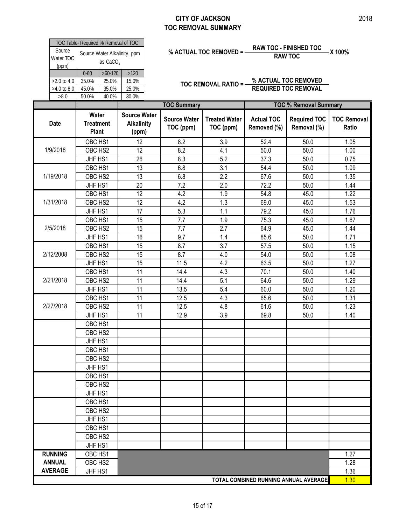#### **CITY OF JACKSON TOC REMOVAL SUMMARY**

|                              |                                            | TOC Table- Required % Removal of TOC |       |  |  |  |  |  |  |
|------------------------------|--------------------------------------------|--------------------------------------|-------|--|--|--|--|--|--|
| Source<br>Water TOC<br>(ppm) | Source Water Alkalinity, ppm<br>as $CaCO3$ |                                      |       |  |  |  |  |  |  |
|                              | $0 - 60$                                   | $>60-120$                            | >120  |  |  |  |  |  |  |
| $>2.0$ to 4.0                | 35.0%                                      | 25.0%                                | 15.0% |  |  |  |  |  |  |
| >4.0 to 8.0                  | 45.0%                                      | 35.0%                                | 25.0% |  |  |  |  |  |  |
| >8.0                         | 50.0%                                      | 40.0%                                | 30.0% |  |  |  |  |  |  |
|                              |                                            |                                      |       |  |  |  |  |  |  |

# **% ACTUAL TOC REMOVED = RAW TOC - FINISHED TOC X 100% RAW TOC**

| Source             | TOC Table- Required % Removal of TOC<br>Source Water Alkalinity, ppm |            |                                                   |                                  | % ACTUAL TOC REMOVED = -          | <b>RAW TOC - FINISHED TOC</b><br><b>RAW TOC</b> |                                    | X 100%                      |  |
|--------------------|----------------------------------------------------------------------|------------|---------------------------------------------------|----------------------------------|-----------------------------------|-------------------------------------------------|------------------------------------|-----------------------------|--|
| Water TOC<br>(ppm) |                                                                      | as $CaCO3$ |                                                   |                                  |                                   |                                                 |                                    |                             |  |
|                    | $0 - 60$                                                             | $>60-120$  | $>120$                                            |                                  |                                   |                                                 |                                    |                             |  |
| >2.0 to 4.0        | 35.0%                                                                | 25.0%      | 15.0%                                             |                                  | TOC REMOVAL RATIO =-              |                                                 | % ACTUAL TOC REMOVED               |                             |  |
| >4.0 to 8.0        | 45.0%                                                                | 35.0%      | 25.0%                                             |                                  |                                   |                                                 | <b>REQUIRED TOC REMOVAL</b>        |                             |  |
| >8.0               | 50.0%                                                                | 40.0%      | 30.0%                                             |                                  |                                   |                                                 |                                    |                             |  |
|                    |                                                                      |            |                                                   | <b>TOC Summary</b>               |                                   |                                                 | <b>TOC % Removal Summary</b>       |                             |  |
| <b>Date</b>        | Water<br><b>Treatment</b><br><b>Plant</b>                            |            | <b>Source Water</b><br><b>Alkalinity</b><br>(ppm) | <b>Source Water</b><br>TOC (ppm) | <b>Treated Water</b><br>TOC (ppm) | <b>Actual TOC</b><br>Removed (%)                | <b>Required TOC</b><br>Removal (%) | <b>TOC Removal</b><br>Ratio |  |
|                    | OBC HS1                                                              |            | 12                                                | 8.2                              | 3.9                               | 52.4                                            | 50.0                               | 1.05                        |  |
| 1/9/2018           | OBC HS2                                                              |            | 12                                                | 8.2                              | 4.1                               | 50.0                                            | 50.0                               | 1.00                        |  |
|                    | JHF HS1                                                              |            | 26                                                | 8.3                              | 5.2                               | 37.3                                            | 50.0                               | 0.75                        |  |
|                    | OBC HS1                                                              |            | $\overline{13}$                                   | 6.8                              | $\overline{3.1}$                  | 54.4                                            | 50.0                               | 1.09                        |  |
| 1/19/2018          | OBC HS2                                                              |            | 13                                                | 6.8                              | 2.2                               | 67.6                                            | 50.0                               | 1.35                        |  |
|                    | JHF HS1                                                              |            | 20                                                | 7.2                              | 2.0                               | 72.2                                            | 50.0                               | 1.44                        |  |
|                    | OBC HS1                                                              |            | 12                                                | 4.2                              | 1.9                               | 54.8                                            | 45.0                               | 1.22                        |  |
| 1/31/2018          | OBC HS2                                                              |            | 12                                                | 4.2                              | 1.3                               | 69.0                                            | 45.0                               | 1.53                        |  |
|                    | JHF HS1                                                              |            | 17                                                | 5.3                              | 1.1                               | 79.2                                            | 45.0                               | 1.76                        |  |
|                    | OBC HS1                                                              |            | $\overline{15}$                                   | $\overline{7.7}$                 | 1.9                               | 75.3                                            | 45.0                               | 1.67                        |  |
| 2/5/2018           | OBC HS2                                                              |            | 15                                                | 7.7                              | 2.7                               | 64.9                                            | 45.0                               | 1.44                        |  |
|                    | JHF HS1                                                              |            | 16                                                | 9.7                              | 1.4                               | 85.6                                            | 50.0                               | 1.71                        |  |
|                    | OBC HS1                                                              |            | 15                                                | 8.7                              | 3.7                               | 57.5                                            | 50.0                               | 1.15                        |  |
| 2/12/2008          | OBC HS2                                                              |            | 15                                                | 8.7                              | 4.0                               | 54.0                                            | 50.0                               | 1.08                        |  |
|                    | JHF HS1                                                              |            | 15                                                | 11.5                             | 4.2                               | 63.5                                            | 50.0                               | 1.27                        |  |
|                    | OBC HS1                                                              |            | $\overline{11}$                                   | 14.4                             | 4.3                               | 70.1                                            | 50.0                               | 1.40                        |  |
| 2/21/2018          | OBC HS2                                                              |            | 11                                                | 14.4                             | 5.1                               | 64.6                                            | 50.0                               | 1.29                        |  |
|                    | JHF HS1                                                              |            | 11                                                | 13.5                             | 5.4                               | 60.0                                            | 50.0                               | 1.20                        |  |
|                    | OBC HS1                                                              |            | 11                                                | 12.5                             | 4.3                               | 65.6                                            | 50.0                               | 1.31                        |  |
| 2/27/2018          | OBC HS2                                                              |            | 11                                                | 12.5                             | 4.8                               | 61.6                                            | 50.0                               | 1.23                        |  |
|                    | JHF HS1                                                              |            | 11                                                | 12.9                             | 3.9                               | 69.8                                            | 50.0                               | 1.40                        |  |
|                    | OBC HS1                                                              |            |                                                   |                                  |                                   |                                                 |                                    |                             |  |
|                    | OBC HS2                                                              |            |                                                   |                                  |                                   |                                                 |                                    |                             |  |
|                    | JHF HS1                                                              |            |                                                   |                                  |                                   |                                                 |                                    |                             |  |
|                    | OBC HS1                                                              |            |                                                   |                                  |                                   |                                                 |                                    |                             |  |
|                    | OBC HS2                                                              |            |                                                   |                                  |                                   |                                                 |                                    |                             |  |
|                    | JHF HS1                                                              |            |                                                   |                                  |                                   |                                                 |                                    |                             |  |
|                    | OBC HS1                                                              |            |                                                   |                                  |                                   |                                                 |                                    |                             |  |
|                    | OBC HS2                                                              |            |                                                   |                                  |                                   |                                                 |                                    |                             |  |
|                    | JHF HS1                                                              |            |                                                   |                                  |                                   |                                                 |                                    |                             |  |
|                    | OBC HS1                                                              |            |                                                   |                                  |                                   |                                                 |                                    |                             |  |
|                    | OBC HS2                                                              |            |                                                   |                                  |                                   |                                                 |                                    |                             |  |
|                    | JHF HS1                                                              |            |                                                   |                                  |                                   |                                                 |                                    |                             |  |
|                    | OBC HS1                                                              |            |                                                   |                                  |                                   |                                                 |                                    |                             |  |
|                    | OBC HS2                                                              |            |                                                   |                                  |                                   |                                                 |                                    |                             |  |
| <b>RUNNING</b>     | JHF HS1<br>OBC HS1                                                   |            |                                                   |                                  |                                   |                                                 |                                    | 1.27                        |  |
| <b>ANNUAL</b>      |                                                                      |            |                                                   |                                  |                                   |                                                 |                                    |                             |  |
| <b>AVERAGE</b>     | OBC HS2                                                              |            |                                                   |                                  |                                   |                                                 |                                    | 1.28<br>1.36                |  |
|                    | JHF HS1<br>TOTAL COMBINED RUNNING ANNUAL AVERAGE                     |            |                                                   |                                  |                                   |                                                 |                                    | 1.30                        |  |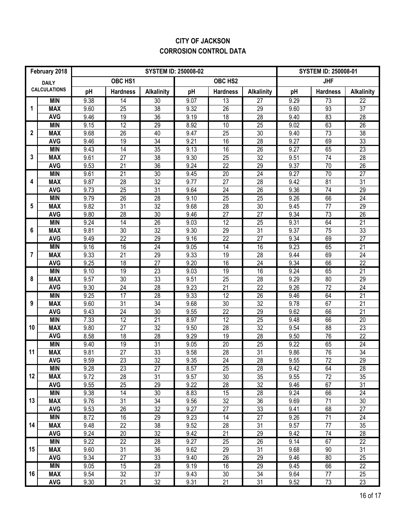### **CITY OF JACKSON CORROSION CONTROL DATA**

| February 2018 |                          |              |                       | <b>SYSTEM ID: 250008-01</b> |              |                       |                       |              |                 |                       |
|---------------|--------------------------|--------------|-----------------------|-----------------------------|--------------|-----------------------|-----------------------|--------------|-----------------|-----------------------|
|               | <b>DAILY</b>             |              | OBC HS1               |                             |              | OBC HS2               |                       |              | <b>JHF</b>      |                       |
|               | <b>CALCULATIONS</b>      | pH           | <b>Hardness</b>       | <b>Alkalinity</b>           | pH           | <b>Hardness</b>       | <b>Alkalinity</b>     | pH           | <b>Hardness</b> | <b>Alkalinity</b>     |
|               | <b>MIN</b>               | 9.38         | 14                    | $\overline{30}$             | 9.07         | 13                    | $\overline{27}$       | 9.29         | 73              | $\overline{22}$       |
| 1             | <b>MAX</b>               | 9.60         | 25                    | $\overline{38}$             | 9.32         | 26                    | 29                    | 9.60         | 93              | 37                    |
|               | <b>AVG</b>               | 9.46         | 19                    | $\overline{36}$             | 9.19         | $\overline{18}$       | $\overline{28}$       | 9.40         | 83              | $\overline{28}$       |
|               | <b>MIN</b>               | 9.15         | 12                    | 29                          | 8.92         | 10                    | $\overline{25}$       | 9.02         | 63              | $\overline{26}$       |
| $\mathbf{2}$  | <b>MAX</b>               | 9.68         | 26                    | 40                          | 9.47         | 25                    | 30                    | 9.40         | 73              | 38                    |
|               | <b>AVG</b>               | 9.46         | 19                    | $\overline{34}$             | 9.21         | 16                    | $\overline{28}$       | 9.27         | 69              | 33                    |
|               | <b>MIN</b>               | 9.43         | $\overline{14}$       | 35                          | 9.13         | 16                    | $\overline{26}$       | 9.27         | 65              | 23                    |
| 3             | <b>MAX</b>               | 9.61         | 27                    | 38                          | 9.30         | 25                    | 32                    | 9.51         | 74              | 28                    |
|               | <b>AVG</b>               | 9.53         | $\overline{21}$       | 36                          | 9.24         | 22                    | 29                    | 9.37         | 70              | $\overline{26}$       |
|               | <b>MIN</b>               | 9.61         | $\overline{21}$       | 30                          | 9.45         | 20                    | $\overline{24}$       | 9.27         | $\overline{70}$ | $\overline{27}$       |
| 4             | <b>MAX</b>               | 9.87         | 28                    | 32                          | 9.77         | 27                    | 28                    | 9.42         | 81              | 31                    |
|               | <b>AVG</b>               | 9.73         | 25                    | 31                          | 9.64         | 24                    | 26                    | 9.36         | 74              | 29                    |
|               | <b>MIN</b>               | 9.79         | $\overline{26}$       | 28                          | 9.10         | 25                    | $\overline{25}$       | 9.26         | 66              | 24                    |
| 5             | <b>MAX</b>               | 9.82         | 31                    | $\overline{32}$             | 9.68         | 28                    | 30                    | 9.45         | 77              | 29                    |
|               | <b>AVG</b><br><b>MIN</b> | 9.80         | 28                    | $\overline{30}$<br>26       | 9.46         | 27<br>12              | 27                    | 9.34         | $\overline{73}$ | 26                    |
| 6             | <b>MAX</b>               | 9.24<br>9.81 | $\overline{14}$<br>30 | 32                          | 9.03<br>9.30 | 29                    | $\overline{25}$<br>31 | 9.31<br>9.37 | 64<br>75        | $\overline{21}$<br>33 |
|               | <b>AVG</b>               | 9.49         | 22                    | 29                          | 9.16         | 22                    | 27                    | 9.34         | 69              | 27                    |
|               | <b>MIN</b>               | 9.16         | 16                    | 24                          | 9.05         | $\overline{14}$       | 16                    | 9.23         | 65              | 21                    |
| 7             | <b>MAX</b>               | 9.33         | 21                    | $\overline{29}$             | 9.33         | 19                    | 28                    | 9.44         | 69              | $\overline{24}$       |
|               | <b>AVG</b>               | 9.25         | 18                    | $\overline{27}$             | 9.20         | 16                    | 24                    | 9.34         | 66              | $\overline{22}$       |
|               | <b>MIN</b>               | 9.10         | 19                    | 23                          | 9.03         | 19                    | 16                    | 9.24         | 65              | 21                    |
| 8             | <b>MAX</b>               | 9.57         | 30                    | 33                          | 9.51         | 25                    | 28                    | 9.29         | 80              | 29                    |
|               | <b>AVG</b>               | 9.30         | 24                    | $\overline{28}$             | 9.23         | $\overline{21}$       | $\overline{22}$       | 9.26         | $\overline{72}$ | 24                    |
|               | <b>MIN</b>               | 9.25         | 17                    | 28                          | 9.33         | 12                    | 26                    | 9.46         | 64              | 21                    |
| 9             | <b>MAX</b>               | 9.60         | $\overline{31}$       | $\overline{34}$             | 9.68         | 30                    | $\overline{32}$       | 9.78         | 67              | $\overline{21}$       |
|               | <b>AVG</b>               | 9.43         | 24                    | $\overline{30}$             | 9.55         | $\overline{22}$       | $\overline{29}$       | 9.62         | 66              | $\overline{21}$       |
|               | <b>MIN</b>               | 7.33         | 12                    | 21                          | 8.97         | $\overline{12}$       | $\overline{25}$       | 9.48         | 66              | $\overline{20}$       |
| 10            | <b>MAX</b>               | 9.80         | $\overline{27}$       | $\overline{32}$             | 9.50         | 28                    | $\overline{32}$       | 9.54         | $\overline{88}$ | 23                    |
|               | <b>AVG</b>               | 8.58         | 18                    | $\overline{28}$             | 9.29         | 19                    | 28                    | 9.50         | 76              | $\overline{22}$       |
|               | <b>MIN</b>               | 9.40         | 19                    | 31                          | 9.05         | 20                    | $\overline{25}$       | 9.22         | 65              | 24                    |
| 11            | <b>MAX</b>               | 9.81         | $\overline{27}$       | 33                          | 9.58         | 28                    | $\overline{31}$       | 9.86         | 76              | $\overline{34}$       |
|               | <b>AVG</b>               | 9.59         | $\overline{23}$       | $\overline{32}$             | 9.35         | $\overline{24}$       | $\overline{28}$       | 9.55         | $\overline{72}$ | 29                    |
|               | <b>MIN</b>               | 9.28         | 23                    | $\overline{27}$             | 8.57         | 25                    | 28                    | 9.42         | 64              | 28                    |
| 12            | <b>MAX</b>               | 9.72         | 28                    | 31                          | 9.57         | 30                    | 35                    | 9.55         | 72              | 35                    |
|               | <b>AVG</b>               | 9.55         | 25                    | 29                          | 9.22         | 28                    | 32                    | 9.46         | 67              | 31                    |
|               | <b>MIN</b>               | 9.38         | 14                    | 30                          | 8.83         | 15                    | 28                    | 9.24         | 66              | 24                    |
| 13            | <b>MAX</b>               | 9.76         | 31                    | 34                          | 9.56         | 32                    | 36                    | 9.69         | 71              | 30                    |
|               | <b>AVG</b>               | 9.53         | 26                    | 32                          | 9.27         | 27                    | 33                    | 9.41         | 68              | 27                    |
|               | <b>MIN</b>               | 8.72         | 16                    | 29                          | 9.23         | 14                    | $\overline{27}$       | 9.26         | $\overline{71}$ | 24                    |
| 14            | <b>MAX</b>               | 9.48         | 22                    | 38                          | 9.52         | 28                    | 31                    | 9.57         | 77              | 35                    |
|               | <b>AVG</b><br><b>MIN</b> | 9.24         | 20<br>22              | 32<br>$\overline{28}$       | 9.42<br>9.27 | 21<br>$\overline{25}$ | 29<br>$\overline{26}$ | 9.42<br>9.14 | 74<br>67        | 28<br>$\overline{22}$ |
| 15            | <b>MAX</b>               | 9.22<br>9.60 | 31                    | 36                          | 9.62         | 29                    | 31                    | 9.68         | 90              | 31                    |
|               | <b>AVG</b>               | 9.34         | 27                    | 33                          | 9.40         | 26                    | 29                    | 9.46         | 80              | 25                    |
|               | <b>MIN</b>               | 9.05         | 15                    | 28                          | 9.19         | 16                    | 29                    | 9.45         | 66              | $\overline{22}$       |
| 16            | <b>MAX</b>               | 9.54         | 32                    | 37                          | 9.43         | 30                    | 34                    | 9.64         | 77              | 25                    |
|               | <b>AVG</b>               | 9.30         | 21                    | 32                          | 9.31         | 21                    | 31                    | 9.52         | 73              | 23                    |